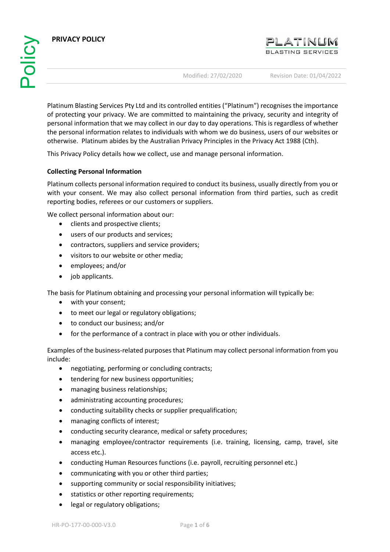**PRIVACY POLICY**



Modified: 27/02/2020 Revision Date: 01/04/2022

Platinum Blasting Services Pty Ltd and its controlled entities ("Platinum") recognises the importance of protecting your privacy. We are committed to maintaining the privacy, security and integrity of personal information that we may collect in our day to day operations. This is regardless of whether the personal information relates to individuals with whom we do business, users of our websites or otherwise. Platinum abides by the Australian Privacy Principles in the Privacy Act 1988 (Cth).

This Privacy Policy details how we collect, use and manage personal information.

# **Collecting Personal Information**

Platinum collects personal information required to conduct its business, usually directly from you or with your consent. We may also collect personal information from third parties, such as credit reporting bodies, referees or our customers or suppliers.

We collect personal information about our:

- clients and prospective clients;
- users of our products and services;
- contractors, suppliers and service providers;
- visitors to our website or other media;
- employees; and/or
- job applicants.

The basis for Platinum obtaining and processing your personal information will typically be:

- with your consent;
- to meet our legal or regulatory obligations;
- to conduct our business; and/or
- for the performance of a contract in place with you or other individuals.

Examples of the business-related purposes that Platinum may collect personal information from you include:

- negotiating, performing or concluding contracts;
- tendering for new business opportunities;
- managing business relationships;
- administrating accounting procedures;
- conducting suitability checks or supplier prequalification;
- managing conflicts of interest;
- conducting security clearance, medical or safety procedures;
- managing employee/contractor requirements (i.e. training, licensing, camp, travel, site access etc.).
- conducting Human Resources functions (i.e. payroll, recruiting personnel etc.)
- communicating with you or other third parties;
- supporting community or social responsibility initiatives;
- statistics or other reporting requirements;
- legal or regulatory obligations;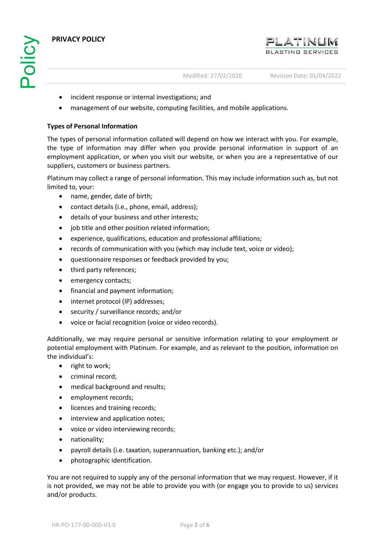

- incident response or internal investigations; and
- management of our website, computing facilities, and mobile applications.

#### **Types of Personal Information**

The types of personal information collated will depend on how we interact with you. For example, the type of information may differ when you provide personal information in support of an employment application, or when you visit our website, or when you are a representative of our suppliers, customers or business partners.

Platinum may collect a range of personal information. This may include information such as, but not limited to, your:

- name, gender, date of birth;
- contact details (i.e., phone, email, address);
- details of your business and other interests;
- iob title and other position related information:
- experience, qualifications, education and professional affiliations;
- records of communication with you (which may include text, voice or video);
- questionnaire responses or feedback provided by you;
- third party references;
- emergency contacts;
- financial and payment information;
- internet protocol (IP) addresses;
- security / surveillance records; and/or
- voice or facial recognition (voice or video records).

Additionally, we may require personal or sensitive information relating to your employment or potential employment with Platinum. For example, and as relevant to the position, information on the individual's:

- right to work;
- criminal record;
- medical background and results;
- employment records;
- licences and training records;
- interview and application notes;
- voice or video interviewing records;
- nationality;
- payroll details (i.e. taxation, superannuation, banking etc.); and/or
- photographic identification.

You are not required to supply any of the personal information that we may request. However, if it is not provided, we may not be able to provide you with (or engage you to provide to us) services and/or products.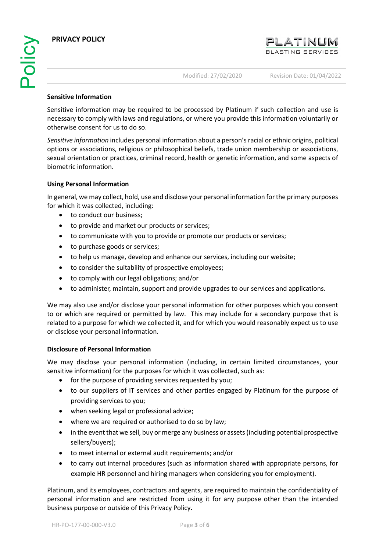#### **Sensitive Information**

Sensitive information may be required to be processed by Platinum if such collection and use is necessary to comply with laws and regulations, or where you provide this information voluntarily or otherwise consent for us to do so.

*Sensitive information* includes personal information about a person's racial or ethnic origins, political options or associations, religious or philosophical beliefs, trade union membership or associations, sexual orientation or practices, criminal record, health or genetic information, and some aspects of biometric information.

## **Using Personal Information**

In general, we may collect, hold, use and disclose your personal information for the primary purposes for which it was collected, including:

- to conduct our business;
- to provide and market our products or services;
- to communicate with you to provide or promote our products or services;
- to purchase goods or services;
- to help us manage, develop and enhance our services, including our website;
- to consider the suitability of prospective employees;
- to comply with our legal obligations; and/or
- to administer, maintain, support and provide upgrades to our services and applications.

We may also use and/or disclose your personal information for other purposes which you consent to or which are required or permitted by law. This may include for a secondary purpose that is related to a purpose for which we collected it, and for which you would reasonably expect us to use or disclose your personal information.

## **Disclosure of Personal Information**

We may disclose your personal information (including, in certain limited circumstances, your sensitive information) for the purposes for which it was collected, such as:

- for the purpose of providing services requested by you;
- to our suppliers of IT services and other parties engaged by Platinum for the purpose of providing services to you;
- when seeking legal or professional advice;
- where we are required or authorised to do so by law;
- in the event that we sell, buy or merge any business or assets (including potential prospective sellers/buyers);
- to meet internal or external audit requirements; and/or
- to carry out internal procedures (such as information shared with appropriate persons, for example HR personnel and hiring managers when considering you for employment).

Platinum, and its employees, contractors and agents, are required to maintain the confidentiality of personal information and are restricted from using it for any purpose other than the intended business purpose or outside of this Privacy Policy.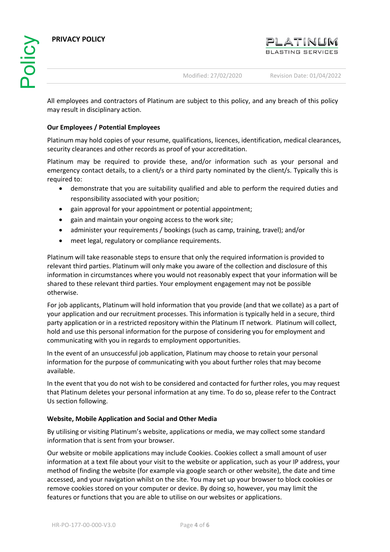

All employees and contractors of Platinum are subject to this policy, and any breach of this policy may result in disciplinary action.

## **Our Employees / Potential Employees**

Platinum may hold copies of your resume, qualifications, licences, identification, medical clearances, security clearances and other records as proof of your accreditation.

Platinum may be required to provide these, and/or information such as your personal and emergency contact details, to a client/s or a third party nominated by the client/s. Typically this is required to:

- demonstrate that you are suitability qualified and able to perform the required duties and responsibility associated with your position;
- gain approval for your appointment or potential appointment;
- gain and maintain your ongoing access to the work site;
- administer your requirements / bookings (such as camp, training, travel); and/or
- meet legal, regulatory or compliance requirements.

Platinum will take reasonable steps to ensure that only the required information is provided to relevant third parties. Platinum will only make you aware of the collection and disclosure of this information in circumstances where you would not reasonably expect that your information will be shared to these relevant third parties. Your employment engagement may not be possible otherwise.

For job applicants, Platinum will hold information that you provide (and that we collate) as a part of your application and our recruitment processes. This information is typically held in a secure, third party application or in a restricted repository within the Platinum IT network. Platinum will collect, hold and use this personal information for the purpose of considering you for employment and communicating with you in regards to employment opportunities.

In the event of an unsuccessful job application, Platinum may choose to retain your personal information for the purpose of communicating with you about further roles that may become available.

In the event that you do not wish to be considered and contacted for further roles, you may request that Platinum deletes your personal information at any time. To do so, please refer to the Contract Us section following.

## **Website, Mobile Application and Social and Other Media**

By utilising or visiting Platinum's website, applications or media, we may collect some standard information that is sent from your browser.

Our website or mobile applications may include Cookies. Cookies collect a small amount of user information at a text file about your visit to the website or application, such as your IP address, your method of finding the website (for example via google search or other website), the date and time accessed, and your navigation whilst on the site. You may set up your browser to block cookies or remove cookies stored on your computer or device. By doing so, however, you may limit the features or functions that you are able to utilise on our websites or applications.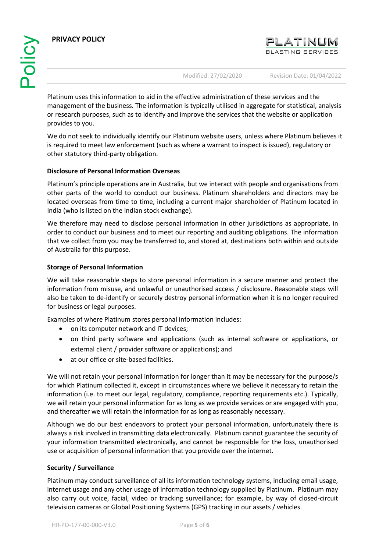

Modified: 27/02/2020 Revision Date: 01/04/2022

Platinum uses this information to aid in the effective administration of these services and the management of the business. The information is typically utilised in aggregate for statistical, analysis or research purposes, such as to identify and improve the services that the website or application provides to you.

We do not seek to individually identify our Platinum website users, unless where Platinum believes it is required to meet law enforcement (such as where a warrant to inspect is issued), regulatory or other statutory third-party obligation.

## **Disclosure of Personal Information Overseas**

Platinum's principle operations are in Australia, but we interact with people and organisations from other parts of the world to conduct our business. Platinum shareholders and directors may be located overseas from time to time, including a current major shareholder of Platinum located in India (who is listed on the Indian stock exchange).

We therefore may need to disclose personal information in other jurisdictions as appropriate, in order to conduct our business and to meet our reporting and auditing obligations. The information that we collect from you may be transferred to, and stored at, destinations both within and outside of Australia for this purpose.

## **Storage of Personal Information**

We will take reasonable steps to store personal information in a secure manner and protect the information from misuse, and unlawful or unauthorised access / disclosure. Reasonable steps will also be taken to de-identify or securely destroy personal information when it is no longer required for business or legal purposes.

Examples of where Platinum stores personal information includes:

- on its computer network and IT devices;
- on third party software and applications (such as internal software or applications, or external client / provider software or applications); and
- at our office or site-based facilities.

We will not retain your personal information for longer than it may be necessary for the purpose/s for which Platinum collected it, except in circumstances where we believe it necessary to retain the information (i.e. to meet our legal, regulatory, compliance, reporting requirements etc.). Typically, we will retain your personal information for as long as we provide services or are engaged with you, and thereafter we will retain the information for as long as reasonably necessary.

Although we do our best endeavors to protect your personal information, unfortunately there is always a risk involved in transmitting data electronically. Platinum cannot guarantee the security of your information transmitted electronically, and cannot be responsible for the loss, unauthorised use or acquisition of personal information that you provide over the internet.

## **Security / Surveillance**

Platinum may conduct surveillance of all its information technology systems, including email usage, internet usage and any other usage of information technology supplied by Platinum. Platinum may also carry out voice, facial, video or tracking surveillance; for example, by way of closed-circuit television cameras or Global Positioning Systems (GPS) tracking in our assets / vehicles.